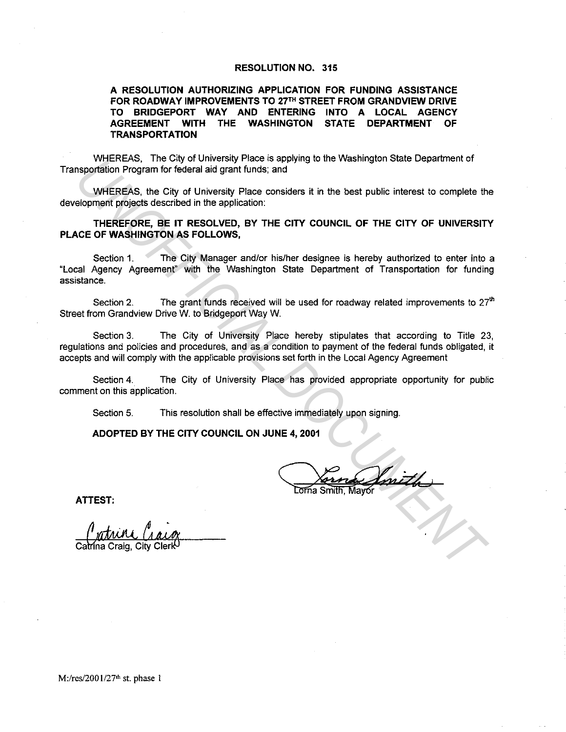## **RESOLUTION NO. 315**

**A RESOLUTION AUTHORIZING APPLICATION FOR FUNDING ASSISTANCE**  FOR ROADWAY IMPROVEMENTS TO 27<sup>TH</sup> STREET FROM GRANDVIEW DRIVE **TO BRIDGEPORT WAY AND ENTERING INTO A LOCAL AGENCY AGREEMENT WITH THE WASHINGTON STATE DEPARTMENT OF TRANSPORTATION** 

WHEREAS, The City of University Place is applying to the Washington State Department of Transportation Program for federal aid grant funds; and

WHEREAS, the City of University Place considers it in the best public interest to complete the development projects described in the application:

**THEREFORE, BE IT RESOLVED, BY THE CITY COUNCIL OF THE CITY OF UNIVERSITY PLACE OF WASHINGTON AS FOLLOWS,** 

Section 1. The City Manager and/or his/her designee is hereby authorized to enter into a "Local Agency Agreement" with the Washington State Department of Transportation for funding assistance. **EXAMPLE THE CITY OF UNIVERSITY THE CITY COUNCIL OF THE CITY OF UNIVERSITY (INCREAS), THE CITY OF UNIVERSITY THEREPAS, the City of University Place considers it in the best public interest to complete the eloperation of po** 

Section 2. The grant funds received will be used for roadway related improvements to  $27<sup>th</sup>$ Street from Grandview Drive W. to Bridgeport Way W.

Section 3. The City of University Place hereby stipulates that according to Title 23, regulations and policies and procedures, and as a condition to payment of the federal funds obligated, it accepts and will comply with the applicable provisions set forth in the Local Agency Agreement

Section 4. The City of University Place has provided appropriate opportunity for public comment on this application.

Section 5. This resolution shall be effective immediately upon signing.

**ADOPTED BY THE CITY COUNCIL ON JUNE 4, 2001** 

 $^{\prime}$  mith

**ATTEST:**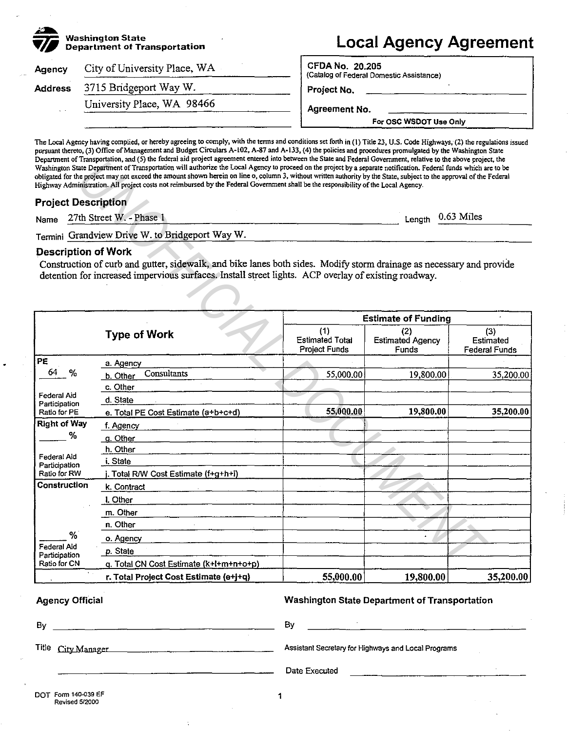| 赤<br><b>Washington State</b><br><b>Department of Transportation</b> |                              | <b>Local Agency Agreement</b>                                      |  |  |
|---------------------------------------------------------------------|------------------------------|--------------------------------------------------------------------|--|--|
| Agency                                                              | City of University Place, WA | <b>CFDA No. 20.205</b><br>(Catalog of Federal Domestic Assistance) |  |  |
| <b>Address</b>                                                      | 3715 Bridgeport Way W.       | Project No.                                                        |  |  |
|                                                                     | University Place, WA 98466   | Agreement No.                                                      |  |  |
|                                                                     |                              | For OSC WSDOT Use Only                                             |  |  |

pursuant thereto, (3) Office of Management and Budget Circulars A-102, A-87 and A-133, (4) the policies and procedures promulgated by the Washington State Department of Transportation, and (5) the federal aid project agreement entered into between the State and Federal Government. relative to the above project, the Washington State Department of Transportation will authorize the Local Agency to proceed on the project by a separate notification. Federal funds which are to be obligated for the project may not exceed the amount shown herein on line o, column 3, without written authority by the State, subject to the approval of the Federal Highway Administration. All project costs not reimbursed by the Federal Government shall be the responsibility of the Local Agency.

# Project Description

# Description of Work

|                              |                            | Department of Transportation, and (5) the lead at project agreement entered mo between the State and Pederal Government, relative to the above project, the<br>Washington State Department of Transportation will authorize the Local Agency to proceed on the project by a separate notification. Federal funds which are to be<br>obligated for the project may not exceed the amount shown herein on line o, column 3, without written authority by the State, subject to the approval of the Federal<br>Highway Administration. All project costs not reimbursed by the Federal Government shall be the responsibility of the Local Agency. |                                                       |                                         |                                          |  |  |
|------------------------------|----------------------------|-------------------------------------------------------------------------------------------------------------------------------------------------------------------------------------------------------------------------------------------------------------------------------------------------------------------------------------------------------------------------------------------------------------------------------------------------------------------------------------------------------------------------------------------------------------------------------------------------------------------------------------------------|-------------------------------------------------------|-----------------------------------------|------------------------------------------|--|--|
|                              | <b>Project Description</b> |                                                                                                                                                                                                                                                                                                                                                                                                                                                                                                                                                                                                                                                 |                                                       |                                         |                                          |  |  |
| Name                         |                            | 27th Street W. - Phase 1                                                                                                                                                                                                                                                                                                                                                                                                                                                                                                                                                                                                                        | Length                                                | $0.63$ Miles                            |                                          |  |  |
| Termini                      |                            | Grandview Drive W. to Bridgeport Way W.                                                                                                                                                                                                                                                                                                                                                                                                                                                                                                                                                                                                         |                                                       |                                         |                                          |  |  |
|                              | <b>Description of Work</b> | Construction of curb and gutter, sidewalk, and bike lanes both sides. Modify storm drainage as necessary and provide<br>detention for increased impervious surfaces. Install street lights. ACP overlay of existing roadway.                                                                                                                                                                                                                                                                                                                                                                                                                    |                                                       |                                         |                                          |  |  |
|                              |                            |                                                                                                                                                                                                                                                                                                                                                                                                                                                                                                                                                                                                                                                 |                                                       | <b>Estimate of Funding</b>              |                                          |  |  |
|                              |                            | <b>Type of Work</b>                                                                                                                                                                                                                                                                                                                                                                                                                                                                                                                                                                                                                             | (1)<br><b>Estimated Total</b><br><b>Project Funds</b> | (2)<br><b>Estimated Agency</b><br>Funds | (3)<br>Estimated<br><b>Federal Funds</b> |  |  |
| $\overline{PE}$              |                            | a. Agency                                                                                                                                                                                                                                                                                                                                                                                                                                                                                                                                                                                                                                       |                                                       |                                         |                                          |  |  |
| 64                           | %                          | Consultants<br>b. Other                                                                                                                                                                                                                                                                                                                                                                                                                                                                                                                                                                                                                         | 55,000.00                                             | 19,800.00                               | 35,200.00                                |  |  |
|                              |                            | c. Other                                                                                                                                                                                                                                                                                                                                                                                                                                                                                                                                                                                                                                        |                                                       |                                         |                                          |  |  |
| Federal Aid<br>Participation |                            | d. State                                                                                                                                                                                                                                                                                                                                                                                                                                                                                                                                                                                                                                        |                                                       |                                         |                                          |  |  |
| Ratio for PE                 |                            | e. Total PE Cost Estimate (a+b+c+d)                                                                                                                                                                                                                                                                                                                                                                                                                                                                                                                                                                                                             | 55,000.00                                             | 19,800.00                               | 35,200.00                                |  |  |
| <b>Right of Way</b>          |                            | f. Agency                                                                                                                                                                                                                                                                                                                                                                                                                                                                                                                                                                                                                                       |                                                       |                                         |                                          |  |  |
|                              | %                          | g. Other                                                                                                                                                                                                                                                                                                                                                                                                                                                                                                                                                                                                                                        |                                                       |                                         |                                          |  |  |
|                              |                            | h. Other                                                                                                                                                                                                                                                                                                                                                                                                                                                                                                                                                                                                                                        |                                                       |                                         |                                          |  |  |
| Federal Aid<br>Participation |                            | i. State                                                                                                                                                                                                                                                                                                                                                                                                                                                                                                                                                                                                                                        |                                                       |                                         |                                          |  |  |
| Ratio for RW                 |                            | j. Total R/W Cost Estimate (f+g+h+i)                                                                                                                                                                                                                                                                                                                                                                                                                                                                                                                                                                                                            |                                                       |                                         |                                          |  |  |
| Construction                 |                            | k. Contract                                                                                                                                                                                                                                                                                                                                                                                                                                                                                                                                                                                                                                     |                                                       |                                         |                                          |  |  |
|                              |                            | I. Other                                                                                                                                                                                                                                                                                                                                                                                                                                                                                                                                                                                                                                        |                                                       |                                         |                                          |  |  |
|                              |                            | m. Other                                                                                                                                                                                                                                                                                                                                                                                                                                                                                                                                                                                                                                        |                                                       |                                         |                                          |  |  |
|                              |                            | n. Other                                                                                                                                                                                                                                                                                                                                                                                                                                                                                                                                                                                                                                        |                                                       |                                         |                                          |  |  |
|                              | %                          | o. Agency                                                                                                                                                                                                                                                                                                                                                                                                                                                                                                                                                                                                                                       |                                                       |                                         |                                          |  |  |
| Federal Aid<br>Participation |                            | p. State                                                                                                                                                                                                                                                                                                                                                                                                                                                                                                                                                                                                                                        |                                                       |                                         |                                          |  |  |
| Ratio for CN                 |                            | q. Total CN Cost Estimate (k+l+m+n+o+p)                                                                                                                                                                                                                                                                                                                                                                                                                                                                                                                                                                                                         |                                                       |                                         |                                          |  |  |
|                              |                            | r. Total Project Cost Estimate (e+j+q)                                                                                                                                                                                                                                                                                                                                                                                                                                                                                                                                                                                                          | 55,000.00                                             | 19,800.00                               | 35,200.00                                |  |  |

Agency Official

Washington State Department of Transportation

| Bv                 | Bv                                                  |
|--------------------|-----------------------------------------------------|
| Title City Manager | Assistant Secretary for Highways and Local Programs |
|                    | Date Executed                                       |
|                    |                                                     |

1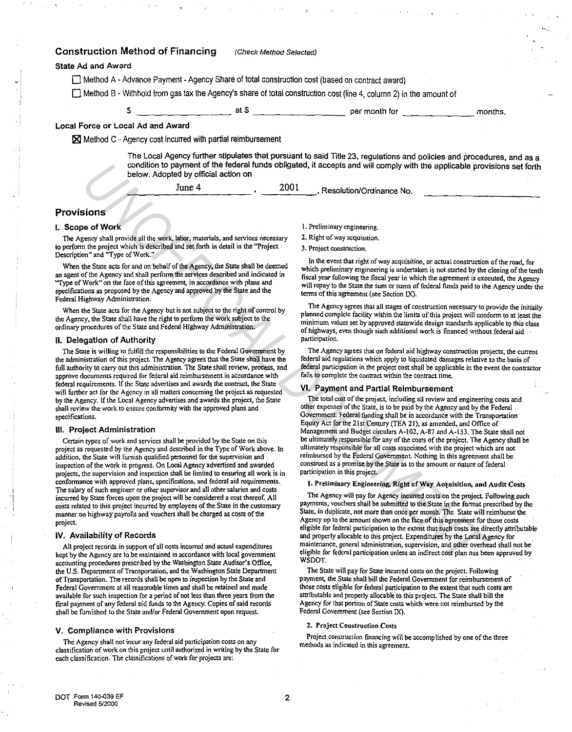## Construction Method of Financing (Check Method Selected)

### State Ad and Award

 $\Box$  Method A - Advance Payment - Agency Share of total construction cost (based on contract award)

 $\square$  Method B - Withhold from gas tax the Agency's share of total construction cost (line 4, column 2) in the amount of

\$ \_\_\_\_\_\_\_\_ \_ at\$--------- per month for -------- months.

### Local Force or Local Ad and Award

 $\times$  Method C - Agency cost incurred with partial reimbursement

The Local Agency further stipulates that pursuant to said Title 23, regulations and policies and procedures, and as a condition to payment of the federal funds obligated, it accepts and will comply with the applicable provisions set forth below. Adopted by official action on

| June 4 | 2001 | Resolution/Ordinance No. |  |
|--------|------|--------------------------|--|
|        |      |                          |  |

## Provisions

#### I. Scope of Work

The Agency shall provide all the work. labor, materials, and services necessary to perform the project which is described and set forth in detail in the "Project Description" and "Type of Work."

When the State acts for and on behalf of the Agency, the State shall be deemed an agent of the Agency and shall perfonn the services described and indicated in "Type of Work" on the face of this agreement, in accordance with plans and specifications as proposed by the Agency and approved by the State and the Federal Highway Administration.

When the State acts for the Agency but is not subject to the right of control by the Agency, the State shall have the right to perform the work subject to the ordinary procedures of the State and Federal Highway Administration.

### II. Delegation of Authority

The State is willing to fulfill the responsibilities to the Federal Government by the administration of this project. The Agency agrees that the State shall have the full authority to carry out this administration. The State shall review, process, and approve documents required for federal aid reimbursement in accordance with federal requirements. If the State advertises and awards the contract, the State will further act for the Agency in all matters concerning the project as requested by the Agency. If the Local Agency advertises and awards the project, the State shall review the work to ensure conformity with the approved plans and specifications.

#### Ill. Project Administration

Certain types of work and services shall be provided by the State on this project as requested by the Agency and described in the Type of Work above. In addition, the State will furnish qualified personnel for the supervision and inspection of the work in progress. On Local Agency advertised and awarded projects, the supervision and inspection shall be limited to ensuring all work is in confonnance with approved plans, specifications, and federal aid requirements. The salary of such engineer or other supervisor and all other salaries and costs incurred by State forces upon the project will be considered a cost thereof. All costs related to this project incurred by employees of the State in the customary manner on highway payrolls and vouchers shall be charged as costs of the project. condition to permete the interest fund orbital docising doel. It accepts and will comply with the spiechs provides of the spin of the first interest interest interest into the spin of the spin of the spin of the spin of th

### IV. Availability of Records

All project records in support of all costs incurred and actual expenditures kept by the Agency are to be maintained in accordance with local government accounting procedures prescribed by the Washington State Auditor's Office, the U.S. Department of Transportation, and the Washington State Department of Transportation. The records shall be open to inspection by the State and Federal Government at all reasonable times and shall be retained and made available for such inspection for a period of not less than three years from the final payment of any federal aid funds to the Agency. Copies of said records shall be furnished to the State and/or Federal Government upon request.

#### V. Compliance with Provisions

The Agency shall not incur any federal aid participation costs on any classification of work on this project until authorized in writing by the State for each classification. The classifications of work for projects are:

- 1. Preliminary engineering.
- 2. Right of way acquisition.
- 3. Project construction.

In the event that right of way acquisition, or actual construction of the road, for which preliminary engineering is undertaken is not started by the closing of the tenth fiscal year following the fiscal year in which the agreement is executed, the Agency will repay to the State the sum or sums of federal funds paid to the Agency under the terms of this agreement (see Section lX).

The Agency agrees that all stages of construction necessary to provide the initially planned complete facility within the limits of this project will confonn to at least the minimum values set by approved statewide design standards applicable to this class of highways, even though such additional work is financed without federal aid participation.

The Agency agrees that on federal aid highway construction projects, the current federal aid regulations which apply to liquidated damages relative to the basis of federal participation in the project cost shall be applicable in the event the contractor fails to complete the contract within the contract time.

## VI. Payment and Partial Reimbursement

The total cost of the project, including all review and engineering costs and other expenses of the State, is to be paid by the Agency and by the Federal Government. Federal funding shall be in accordance with the Transportation Equity Act for the 21st Century (TEA 21). as amended, and Office of Management and Budget circulars A-102, A-87 and A-133. The State shall not be ultimately responsible for any of the costs of the project. The Agency shall be ultimately responsible for all costs associated with the project which are not reimbursed by the Federal Government. Nothing in this agreement shall be construed as a promise by the State as to the amount or nature of federal participation in this project.

### 1. Preliminary Engineering, Right of Way Acquisition, and Audit Costs

The Agency will pay for Agency incurred costs on the project. Following such payments, vouchers shall be submitted to the State in the fomiat prescribed by the State, in duplicate, not more than once per month. The State will reimburse the Agency up to the amount shown on the face of this agreement for those costs eligible for federal participation to the extent that such costs are directly attributable and properly allocable to this project. Expenditures by the Local Agency for maintenance, general administration, supervision, and other overhead shall not be eligible for federal participation unless an indirect cost plan nas been approved by WSDOT.

The State will pay for State incurred costs on the project. Following payment, the State shall bill the Federal Government for reimbursement of those costs eligible for federal participation to the extent that such costs are attributable and properly allocable to this project. The State shall bill the Agency for that portion of State costs which were not reimbursed by the Federal Government (see Section IX).

#### 2. Project Construction Costs

Project construction financing will be accomplished by one of the three methods as indicated in this agreement.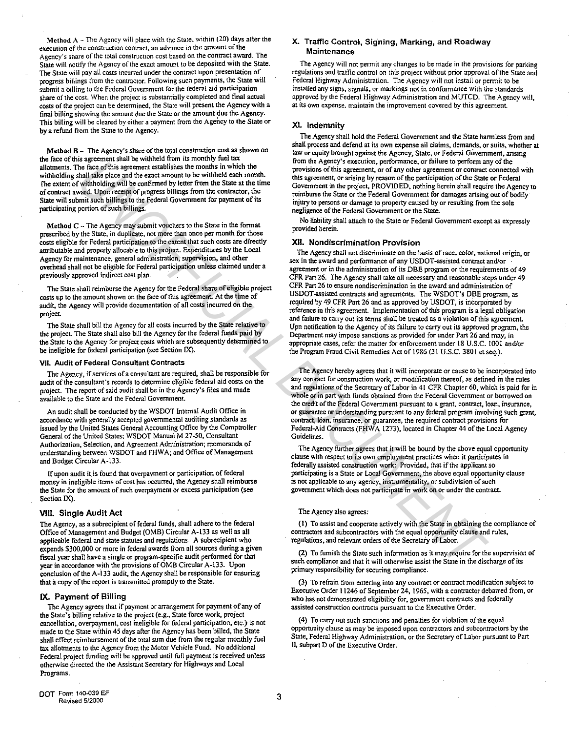Method  $A$  - The Agency will place with the State, within (20) days atter the execution of the construction contract, an advance in the amount of the Agency's share of the total construcuon cost based on the contract award. The State will notify the Agency of the exact amount to be deposited with the State. The State will pay all costs incurred under the contract upon presentation of progress billings from the contractor. Following such payments, the State will submit a billing to the Federal Government for the federal aid participation share of the cost. \Vhen the project is substantially completed and final actual costs of the project can be determined, the State will present the Agency with a final billing showing the amount due the State or the amount due the Agency. This billing will be cleared by either a payment from the Agency to the State or by a refund from the State to the Agency.

Method B - The Agency's share of the total construction cost as shown on the face of this agreement shall be withheld from its monthly fuel tax allotments. The face of this agreement establishes the months in which the withholding shall take place and the exact amount to be withheld each month. The extent of withholding will be confirmed by letter from the State at the time of contract award. Upon receipt of progress billings from the contractor. the State will submit such billings to the Federal Government for payment of its participating portion of such billings.

Method  $C$  - The Agency may submit vouchers to the State in the format prescribed by the State, in duplicate, not more than once per month for those costs eligible for Federal participation to the extent that such costs are directly attributable and properly allocable to this project. Expenditures by the local Agency for maintenance, general administration, supervision, and other overhead shall not be eligible for Federal participation unless claimed under a previously approved indirect cost plan.

The State shall reimburse the Agency for the Federal share of eligible project costs up to the amount shown on the face of this agreement. At the time of audit, the Agency will provide documentation of all costs incurred on the project.

The State shall bill the Agency for all costs incurred by the State relative to the project. The State shall also bill the Agency for the federal funds paid by the State to the Agency for pro}ect costs which are subsequently determined to be ineligible for federal participation (see Section IX).

#### VII. Audit of Federal Consultant Contracts

The Agency, if services of a consultant are required, shall be responsible for audit of the consultant's records to detennine eligible federal aid costs on the project. The report of said audit shall be in the Agency's files and made available to the State and the Federal Government.

An audit shall be conducted by the WSDOT Internal Audit Office in accordance with generally accepted governmental auditing standards as issued by the United States General Accounting Office by the Comptroller General of the United States; WSDOT Manual M 27-50, Consultant Authorization, Selection, and Agreement Administration; memoranda of understanding between WSDOT and FHWA; and Office of Management and Budget Circular A-133.

If upon audit it.is found that overpayment or participation of federal money in ineligible items of cost has occurred, the Agency shall reimburse the State for the amount of such overpayment or excess participation (see Section IX).

#### VIII. Single Audit Act

The Agency, as a subrecipient of federal funds, shall adhere to the federal Office of Management and Budget (OMS) Circular A-133 as well as all applicable federal and state statutes and regulations. A subrecipient who expends \$300,000 or more in federal awards from all sources during a given fiscal year shall have a single or program-specific audit perfonned for that year in accordance with the provisions of OMB Circular A-133. Upon conclusion of the A-133 audit. the Agency shall be responsible for ensuring that a copy of the report is transmitted promptly to the State.

#### IX. Payment of Billing

The Agency agrees that if payment or arrangement for payment of any of the State's billing relative to the project (e.g., State force work, project cancellation, overpayment, cost ineligible for federal participation, etc.) is not made to the State within 45 days afier the Agency has been billed, the State shall effect reimbursement of the total sum due from the regular monthly fuel tax allotments to the Agency from the Motor Vehicle Fund. No additional Federal project funding will be approved until full payment is received unless otherwise directed the the Assistant Secretary for Highways and Local Programs.

### X. Traffic Control, Signing, Marking, and Roadway Maintenance

The Agency will not permit any changes to be made in the provisions for parking regulations and tratTic control on this project without prior approval of the State and Federal Highway Administration. The Agency will not install or pennit to be installed any signs, signals, or markings not in confonnance with the standards approved by the Federal Highway Administration and MUTCD. The Agency will, at its own expense. maintain the improvement covered by this agreement.

### XI. Indemnity

The Agency shall hold the Federal Government and the State harmless from and shall process and defend at its own expense ail claims, demands, or suits, whether at law or equity brought against the Agency, State, or Federal Government, arising from the Agency's execution, perfonnance, or failure to perfonn any of the provisions of this agreement, or of any other agreement or contract connected with this agreement, or arising by reason of the participation of the State or Federal Government in the project, PROVIDED, nothing herein shall require the Agency to reimburse the State or the Federal Government for damages arising out of bodily injury to persons or damage to property caused by or resulting from the sole negligence of the Federal Government or the State.

No liability shall attach to the State or Federal Government except as expressly provided herein.

#### XII. Nondiscrimination Provision

The Agency shall not discriminate on the basis of race, color, national origin, or sex in the award and perfonnance of any USDOT-assisted contract and/or agreement or in the administration of its DBE program or the requirements of 49 CFR Part 26. The Agency shall take all necessary and reasonable steps under 49 CFR Part 26 to ensure nondiscrimination in the award and administration of USDOT-assisted contracts and agreements. The WSDOT's DBE program, as required by 49 CFR Part 26 and as approved by USDOT, is incorporated by reference in this agreement. Implementation of this program is a legal obligation and failure to carry out its tenns shall be treated as a violation of this agreement. Upn notification to the Agency of its failure to carry out its approved program, the Department may impose sanctions as provided for under Part 26 and may, in appropriate cases, refer the matter for enforcement under 18 U.S.C. 1001 and/or the Program Fraud Civil Remedies Act of 1986 (31 U.S.C. 3801 et seq.). The Real Development and the specific and the specific and the specific and the specific and the specific and the specific and the specific and the specific and the specific and the specific and the specific and the specif

The Agency hereby agrees that it will incorporate or cause to be incorporated into any contract for construction work, or modification thereof, as defined in the rules and regulations of the Secretary of Labor in 41 CFR Chapter 60, which is paid for in whole or in part with funds obtained from the Federal Government or borrowed on the credit of the Federal Government pursuant to a grant, contract, loan, insurance, or guarantee or understanding pursuant to any federal program involving such grant, contract, loan, insurance, or guarantee, the required contract provisions for Federal-Aid Contracts (FHWA 1273), located in Chapter 44 of the Local Agency Guidelines.

The Agency further agrees that it will be bound by the above equal opportunity clause with respect to its own employment practices when it participates in federally assisted construction work: Provided, that if the applicant so participating is a State or Local Government, the above equal opportunity clause is not applicable to any agency, instrumentality, or subdivision of such government which does not participate in work on or under the contract

#### The Agency also agrees:

(1) To assist and cooperate actively with the State in obtaining the compliance of contractors and subcontractors with the equal opportunity clause and rules, regulations, and relevant orders of the Secretaiy of Labor.

(2) To furnish the State such infonnation as it may require for the supervision of such compliance and that it will otherwise assist the State in the discharge of its primary responsibility for securing compliance.

(3) To refrain from entering into any contract or contract modification subject to Executive Order 11246 of September 24, 1965, with a contractor debarred from, or who has not demonstrated eligibility for, government contracts and federally assisted construction contracts pursuant to the Executive Order.

(4) To carry out such sanctions and penalties for violation of the equal opportunity clause as may be imposed upon contractors and subcontractors by the State, Federal Highway Administration, or the Secretary of Labor pursuant to Part II, subpart D of the Executive Order.